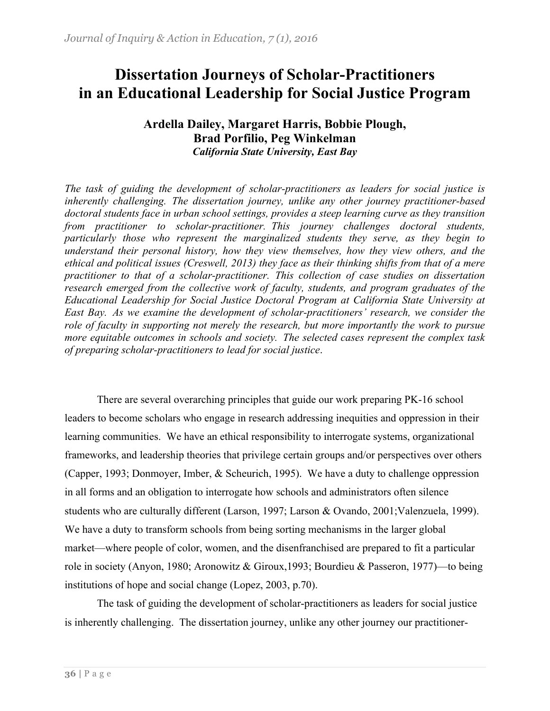# **Dissertation Journeys of Scholar-Practitioners in an Educational Leadership for Social Justice Program**

## **Ardella Dailey, Margaret Harris, Bobbie Plough, Brad Porfilio, Peg Winkelman** *California State University, East Bay*

*The task of guiding the development of scholar-practitioners as leaders for social justice is inherently challenging. The dissertation journey, unlike any other journey practitioner-based doctoral students face in urban school settings, provides a steep learning curve as they transition from practitioner to scholar-practitioner. This journey challenges doctoral students, particularly those who represent the marginalized students they serve, as they begin to understand their personal history, how they view themselves, how they view others, and the ethical and political issues (Creswell, 2013) they face as their thinking shifts from that of a mere practitioner to that of a scholar-practitioner. This collection of case studies on dissertation research emerged from the collective work of faculty, students, and program graduates of the Educational Leadership for Social Justice Doctoral Program at California State University at East Bay. As we examine the development of scholar-practitioners' research, we consider the role of faculty in supporting not merely the research, but more importantly the work to pursue more equitable outcomes in schools and society. The selected cases represent the complex task of preparing scholar-practitioners to lead for social justice*.

There are several overarching principles that guide our work preparing PK-16 school leaders to become scholars who engage in research addressing inequities and oppression in their learning communities. We have an ethical responsibility to interrogate systems, organizational frameworks, and leadership theories that privilege certain groups and/or perspectives over others (Capper, 1993; Donmoyer, Imber, & Scheurich, 1995). We have a duty to challenge oppression in all forms and an obligation to interrogate how schools and administrators often silence students who are culturally different (Larson, 1997; Larson & Ovando, 2001;Valenzuela, 1999). We have a duty to transform schools from being sorting mechanisms in the larger global market—where people of color, women, and the disenfranchised are prepared to fit a particular role in society (Anyon, 1980; Aronowitz & Giroux,1993; Bourdieu & Passeron, 1977)—to being institutions of hope and social change (Lopez, 2003, p.70).

The task of guiding the development of scholar-practitioners as leaders for social justice is inherently challenging. The dissertation journey, unlike any other journey our practitioner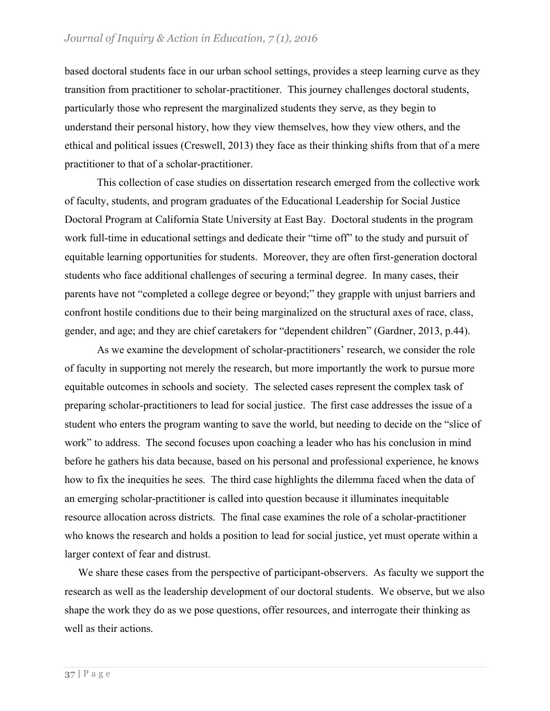based doctoral students face in our urban school settings, provides a steep learning curve as they transition from practitioner to scholar-practitioner. This journey challenges doctoral students, particularly those who represent the marginalized students they serve, as they begin to understand their personal history, how they view themselves, how they view others, and the ethical and political issues (Creswell, 2013) they face as their thinking shifts from that of a mere practitioner to that of a scholar-practitioner.

This collection of case studies on dissertation research emerged from the collective work of faculty, students, and program graduates of the Educational Leadership for Social Justice Doctoral Program at California State University at East Bay. Doctoral students in the program work full-time in educational settings and dedicate their "time off" to the study and pursuit of equitable learning opportunities for students. Moreover, they are often first-generation doctoral students who face additional challenges of securing a terminal degree. In many cases, their parents have not "completed a college degree or beyond;" they grapple with unjust barriers and confront hostile conditions due to their being marginalized on the structural axes of race, class, gender, and age; and they are chief caretakers for "dependent children" (Gardner, 2013, p.44).

As we examine the development of scholar-practitioners' research, we consider the role of faculty in supporting not merely the research, but more importantly the work to pursue more equitable outcomes in schools and society. The selected cases represent the complex task of preparing scholar-practitioners to lead for social justice. The first case addresses the issue of a student who enters the program wanting to save the world, but needing to decide on the "slice of work" to address. The second focuses upon coaching a leader who has his conclusion in mind before he gathers his data because, based on his personal and professional experience, he knows how to fix the inequities he sees. The third case highlights the dilemma faced when the data of an emerging scholar-practitioner is called into question because it illuminates inequitable resource allocation across districts. The final case examines the role of a scholar-practitioner who knows the research and holds a position to lead for social justice, yet must operate within a larger context of fear and distrust.

 We share these cases from the perspective of participant-observers. As faculty we support the research as well as the leadership development of our doctoral students. We observe, but we also shape the work they do as we pose questions, offer resources, and interrogate their thinking as well as their actions.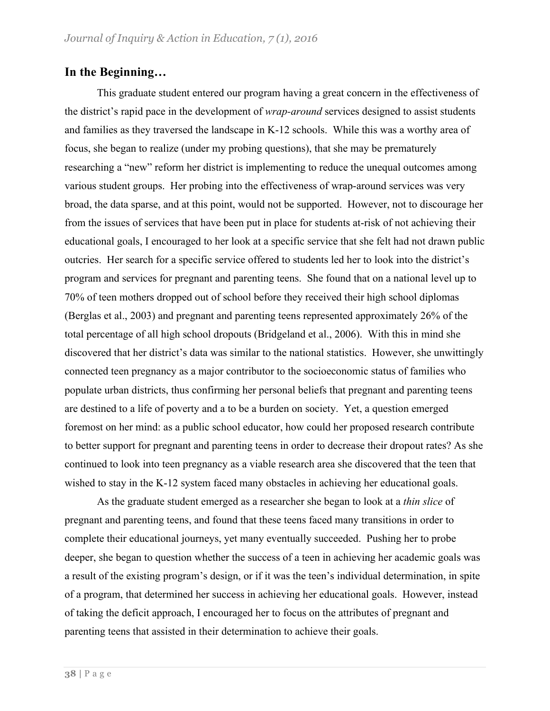## **In the Beginning…**

This graduate student entered our program having a great concern in the effectiveness of the district's rapid pace in the development of *wrap-around* services designed to assist students and families as they traversed the landscape in K-12 schools. While this was a worthy area of focus, she began to realize (under my probing questions), that she may be prematurely researching a "new" reform her district is implementing to reduce the unequal outcomes among various student groups. Her probing into the effectiveness of wrap-around services was very broad, the data sparse, and at this point, would not be supported. However, not to discourage her from the issues of services that have been put in place for students at-risk of not achieving their educational goals, I encouraged to her look at a specific service that she felt had not drawn public outcries. Her search for a specific service offered to students led her to look into the district's program and services for pregnant and parenting teens. She found that on a national level up to 70% of teen mothers dropped out of school before they received their high school diplomas (Berglas et al., 2003) and pregnant and parenting teens represented approximately 26% of the total percentage of all high school dropouts (Bridgeland et al., 2006). With this in mind she discovered that her district's data was similar to the national statistics. However, she unwittingly connected teen pregnancy as a major contributor to the socioeconomic status of families who populate urban districts, thus confirming her personal beliefs that pregnant and parenting teens are destined to a life of poverty and a to be a burden on society. Yet, a question emerged foremost on her mind: as a public school educator, how could her proposed research contribute to better support for pregnant and parenting teens in order to decrease their dropout rates? As she continued to look into teen pregnancy as a viable research area she discovered that the teen that wished to stay in the K-12 system faced many obstacles in achieving her educational goals.

As the graduate student emerged as a researcher she began to look at a *thin slice* of pregnant and parenting teens, and found that these teens faced many transitions in order to complete their educational journeys, yet many eventually succeeded. Pushing her to probe deeper, she began to question whether the success of a teen in achieving her academic goals was a result of the existing program's design, or if it was the teen's individual determination, in spite of a program, that determined her success in achieving her educational goals. However, instead of taking the deficit approach, I encouraged her to focus on the attributes of pregnant and parenting teens that assisted in their determination to achieve their goals.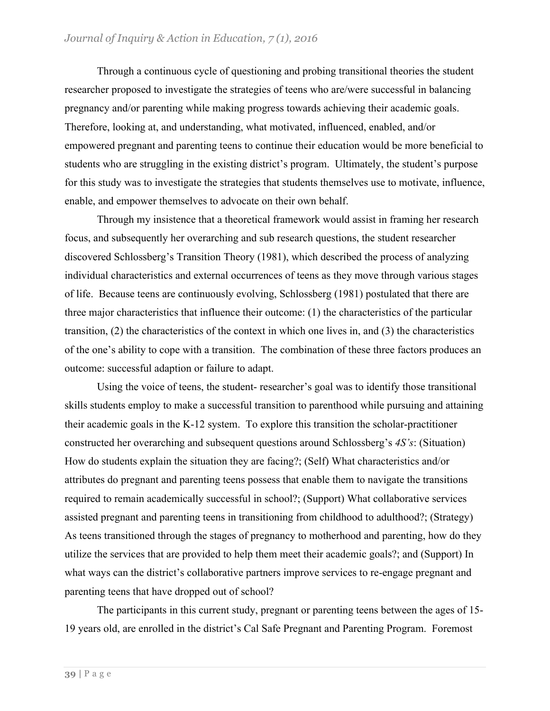Through a continuous cycle of questioning and probing transitional theories the student researcher proposed to investigate the strategies of teens who are/were successful in balancing pregnancy and/or parenting while making progress towards achieving their academic goals. Therefore, looking at, and understanding, what motivated, influenced, enabled, and/or empowered pregnant and parenting teens to continue their education would be more beneficial to students who are struggling in the existing district's program. Ultimately, the student's purpose for this study was to investigate the strategies that students themselves use to motivate, influence, enable, and empower themselves to advocate on their own behalf.

Through my insistence that a theoretical framework would assist in framing her research focus, and subsequently her overarching and sub research questions, the student researcher discovered Schlossberg's Transition Theory (1981), which described the process of analyzing individual characteristics and external occurrences of teens as they move through various stages of life. Because teens are continuously evolving, Schlossberg (1981) postulated that there are three major characteristics that influence their outcome: (1) the characteristics of the particular transition, (2) the characteristics of the context in which one lives in, and (3) the characteristics of the one's ability to cope with a transition. The combination of these three factors produces an outcome: successful adaption or failure to adapt.

Using the voice of teens, the student- researcher's goal was to identify those transitional skills students employ to make a successful transition to parenthood while pursuing and attaining their academic goals in the K-12 system. To explore this transition the scholar-practitioner constructed her overarching and subsequent questions around Schlossberg's *4S's*: (Situation) How do students explain the situation they are facing?; (Self) What characteristics and/or attributes do pregnant and parenting teens possess that enable them to navigate the transitions required to remain academically successful in school?; (Support) What collaborative services assisted pregnant and parenting teens in transitioning from childhood to adulthood?; (Strategy) As teens transitioned through the stages of pregnancy to motherhood and parenting, how do they utilize the services that are provided to help them meet their academic goals?; and (Support) In what ways can the district's collaborative partners improve services to re-engage pregnant and parenting teens that have dropped out of school?

The participants in this current study, pregnant or parenting teens between the ages of 15- 19 years old, are enrolled in the district's Cal Safe Pregnant and Parenting Program. Foremost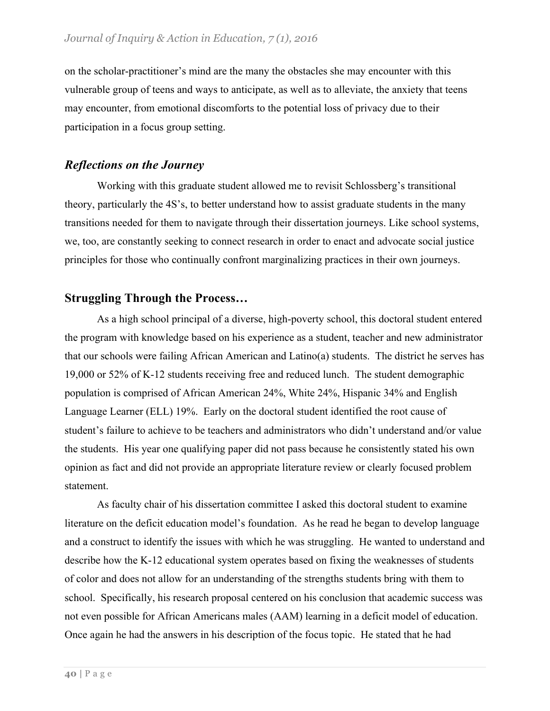on the scholar-practitioner's mind are the many the obstacles she may encounter with this vulnerable group of teens and ways to anticipate, as well as to alleviate, the anxiety that teens may encounter, from emotional discomforts to the potential loss of privacy due to their participation in a focus group setting.

## *Reflections on the Journey*

Working with this graduate student allowed me to revisit Schlossberg's transitional theory, particularly the 4S's, to better understand how to assist graduate students in the many transitions needed for them to navigate through their dissertation journeys. Like school systems, we, too, are constantly seeking to connect research in order to enact and advocate social justice principles for those who continually confront marginalizing practices in their own journeys.

# **Struggling Through the Process…**

As a high school principal of a diverse, high-poverty school, this doctoral student entered the program with knowledge based on his experience as a student, teacher and new administrator that our schools were failing African American and Latino(a) students. The district he serves has 19,000 or 52% of K-12 students receiving free and reduced lunch. The student demographic population is comprised of African American 24%, White 24%, Hispanic 34% and English Language Learner (ELL) 19%. Early on the doctoral student identified the root cause of student's failure to achieve to be teachers and administrators who didn't understand and/or value the students. His year one qualifying paper did not pass because he consistently stated his own opinion as fact and did not provide an appropriate literature review or clearly focused problem statement.

As faculty chair of his dissertation committee I asked this doctoral student to examine literature on the deficit education model's foundation. As he read he began to develop language and a construct to identify the issues with which he was struggling. He wanted to understand and describe how the K-12 educational system operates based on fixing the weaknesses of students of color and does not allow for an understanding of the strengths students bring with them to school. Specifically, his research proposal centered on his conclusion that academic success was not even possible for African Americans males (AAM) learning in a deficit model of education. Once again he had the answers in his description of the focus topic. He stated that he had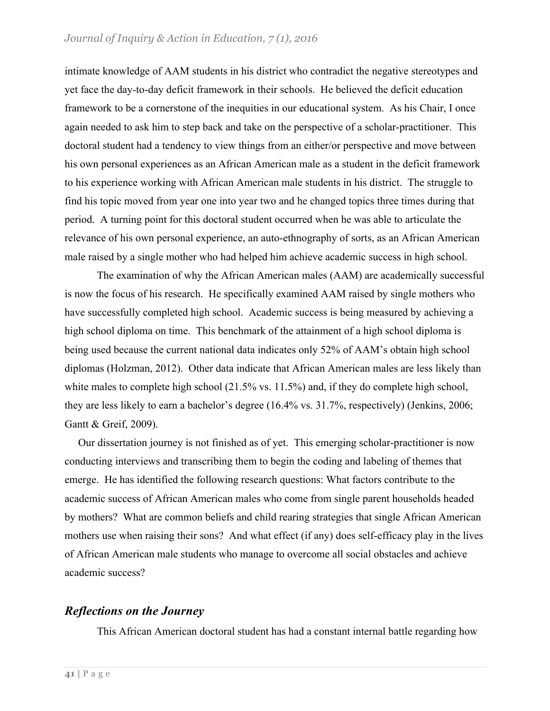intimate knowledge of AAM students in his district who contradict the negative stereotypes and yet face the day-to-day deficit framework in their schools. He believed the deficit education framework to be a cornerstone of the inequities in our educational system. As his Chair, I once again needed to ask him to step back and take on the perspective of a scholar-practitioner. This doctoral student had a tendency to view things from an either/or perspective and move between his own personal experiences as an African American male as a student in the deficit framework to his experience working with African American male students in his district. The struggle to find his topic moved from year one into year two and he changed topics three times during that period. A turning point for this doctoral student occurred when he was able to articulate the relevance of his own personal experience, an auto-ethnography of sorts, as an African American male raised by a single mother who had helped him achieve academic success in high school.

The examination of why the African American males (AAM) are academically successful is now the focus of his research. He specifically examined AAM raised by single mothers who have successfully completed high school. Academic success is being measured by achieving a high school diploma on time. This benchmark of the attainment of a high school diploma is being used because the current national data indicates only 52% of AAM's obtain high school diplomas (Holzman, 2012). Other data indicate that African American males are less likely than white males to complete high school (21.5% vs. 11.5%) and, if they do complete high school, they are less likely to earn a bachelor's degree (16.4% vs. 31.7%, respectively) (Jenkins, 2006; Gantt & Greif, 2009).

 Our dissertation journey is not finished as of yet. This emerging scholar-practitioner is now conducting interviews and transcribing them to begin the coding and labeling of themes that emerge. He has identified the following research questions: What factors contribute to the academic success of African American males who come from single parent households headed by mothers? What are common beliefs and child rearing strategies that single African American mothers use when raising their sons? And what effect (if any) does self-efficacy play in the lives of African American male students who manage to overcome all social obstacles and achieve academic success?

#### *Reflections on the Journey*

This African American doctoral student has had a constant internal battle regarding how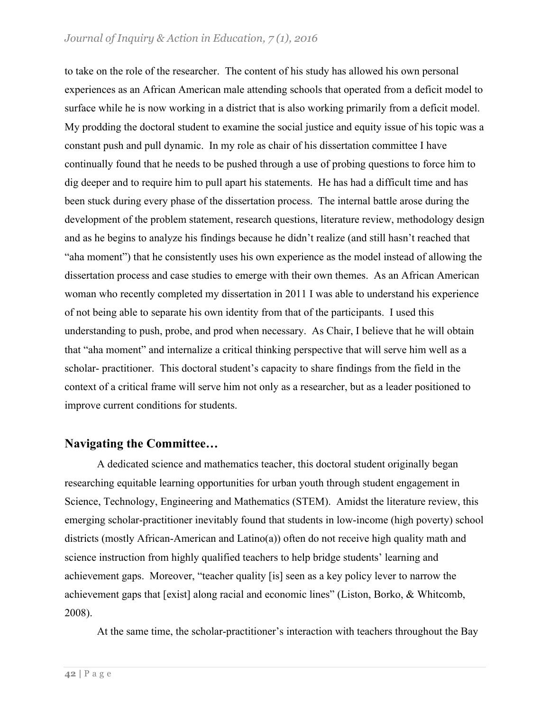#### *Journal of Inquiry & Action in Education, 7 (1), 2016*

to take on the role of the researcher. The content of his study has allowed his own personal experiences as an African American male attending schools that operated from a deficit model to surface while he is now working in a district that is also working primarily from a deficit model. My prodding the doctoral student to examine the social justice and equity issue of his topic was a constant push and pull dynamic. In my role as chair of his dissertation committee I have continually found that he needs to be pushed through a use of probing questions to force him to dig deeper and to require him to pull apart his statements. He has had a difficult time and has been stuck during every phase of the dissertation process. The internal battle arose during the development of the problem statement, research questions, literature review, methodology design and as he begins to analyze his findings because he didn't realize (and still hasn't reached that "aha moment") that he consistently uses his own experience as the model instead of allowing the dissertation process and case studies to emerge with their own themes. As an African American woman who recently completed my dissertation in 2011 I was able to understand his experience of not being able to separate his own identity from that of the participants. I used this understanding to push, probe, and prod when necessary. As Chair, I believe that he will obtain that "aha moment" and internalize a critical thinking perspective that will serve him well as a scholar- practitioner. This doctoral student's capacity to share findings from the field in the context of a critical frame will serve him not only as a researcher, but as a leader positioned to improve current conditions for students.

## **Navigating the Committee…**

A dedicated science and mathematics teacher, this doctoral student originally began researching equitable learning opportunities for urban youth through student engagement in Science, Technology, Engineering and Mathematics (STEM). Amidst the literature review, this emerging scholar-practitioner inevitably found that students in low-income (high poverty) school districts (mostly African-American and Latino(a)) often do not receive high quality math and science instruction from highly qualified teachers to help bridge students' learning and achievement gaps. Moreover, "teacher quality [is] seen as a key policy lever to narrow the achievement gaps that [exist] along racial and economic lines" (Liston, Borko, & Whitcomb, 2008).

At the same time, the scholar-practitioner's interaction with teachers throughout the Bay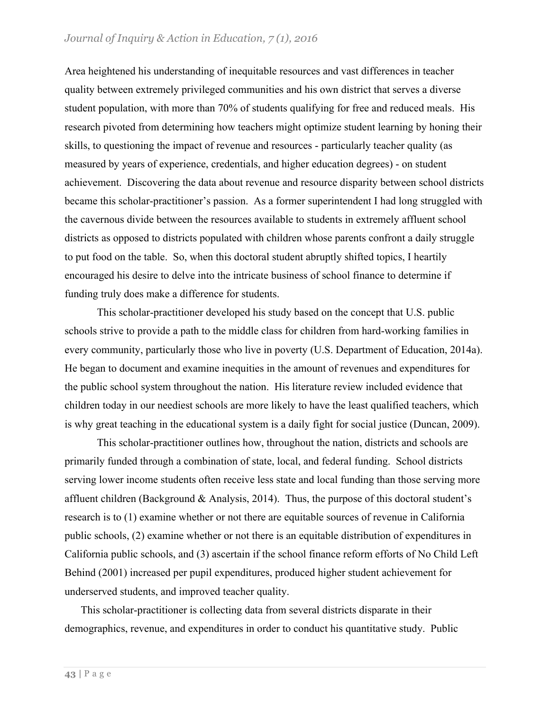Area heightened his understanding of inequitable resources and vast differences in teacher quality between extremely privileged communities and his own district that serves a diverse student population, with more than 70% of students qualifying for free and reduced meals. His research pivoted from determining how teachers might optimize student learning by honing their skills, to questioning the impact of revenue and resources - particularly teacher quality (as measured by years of experience, credentials, and higher education degrees) - on student achievement. Discovering the data about revenue and resource disparity between school districts became this scholar-practitioner's passion. As a former superintendent I had long struggled with the cavernous divide between the resources available to students in extremely affluent school districts as opposed to districts populated with children whose parents confront a daily struggle to put food on the table. So, when this doctoral student abruptly shifted topics, I heartily encouraged his desire to delve into the intricate business of school finance to determine if funding truly does make a difference for students.

This scholar-practitioner developed his study based on the concept that U.S. public schools strive to provide a path to the middle class for children from hard-working families in every community, particularly those who live in poverty (U.S. Department of Education, 2014a). He began to document and examine inequities in the amount of revenues and expenditures for the public school system throughout the nation. His literature review included evidence that children today in our neediest schools are more likely to have the least qualified teachers, which is why great teaching in the educational system is a daily fight for social justice (Duncan, 2009).

This scholar-practitioner outlines how, throughout the nation, districts and schools are primarily funded through a combination of state, local, and federal funding. School districts serving lower income students often receive less state and local funding than those serving more affluent children (Background & Analysis, 2014). Thus, the purpose of this doctoral student's research is to (1) examine whether or not there are equitable sources of revenue in California public schools, (2) examine whether or not there is an equitable distribution of expenditures in California public schools, and (3) ascertain if the school finance reform efforts of No Child Left Behind (2001) increased per pupil expenditures, produced higher student achievement for underserved students, and improved teacher quality.

This scholar-practitioner is collecting data from several districts disparate in their demographics, revenue, and expenditures in order to conduct his quantitative study. Public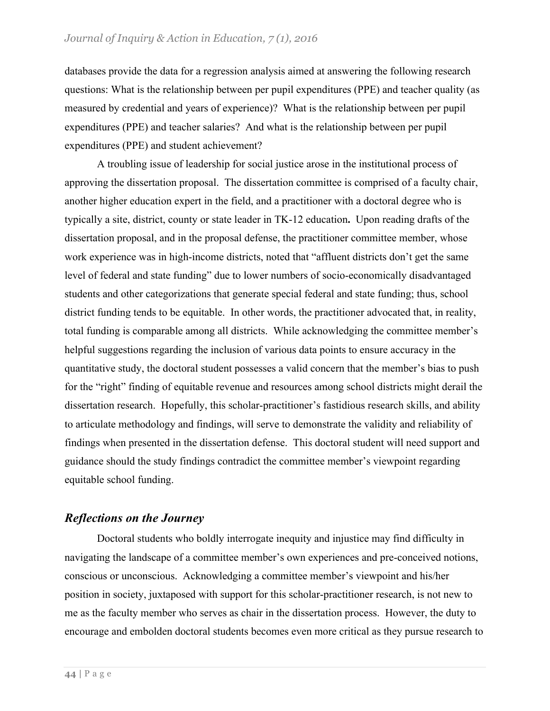databases provide the data for a regression analysis aimed at answering the following research questions: What is the relationship between per pupil expenditures (PPE) and teacher quality (as measured by credential and years of experience)? What is the relationship between per pupil expenditures (PPE) and teacher salaries? And what is the relationship between per pupil expenditures (PPE) and student achievement?

A troubling issue of leadership for social justice arose in the institutional process of approving the dissertation proposal. The dissertation committee is comprised of a faculty chair, another higher education expert in the field, and a practitioner with a doctoral degree who is typically a site, district, county or state leader in TK-12 education**.** Upon reading drafts of the dissertation proposal, and in the proposal defense, the practitioner committee member, whose work experience was in high-income districts, noted that "affluent districts don't get the same level of federal and state funding" due to lower numbers of socio-economically disadvantaged students and other categorizations that generate special federal and state funding; thus, school district funding tends to be equitable. In other words, the practitioner advocated that, in reality, total funding is comparable among all districts. While acknowledging the committee member's helpful suggestions regarding the inclusion of various data points to ensure accuracy in the quantitative study, the doctoral student possesses a valid concern that the member's bias to push for the "right" finding of equitable revenue and resources among school districts might derail the dissertation research. Hopefully, this scholar-practitioner's fastidious research skills, and ability to articulate methodology and findings, will serve to demonstrate the validity and reliability of findings when presented in the dissertation defense. This doctoral student will need support and guidance should the study findings contradict the committee member's viewpoint regarding equitable school funding.

## *Reflections on the Journey*

Doctoral students who boldly interrogate inequity and injustice may find difficulty in navigating the landscape of a committee member's own experiences and pre-conceived notions, conscious or unconscious. Acknowledging a committee member's viewpoint and his/her position in society, juxtaposed with support for this scholar-practitioner research, is not new to me as the faculty member who serves as chair in the dissertation process. However, the duty to encourage and embolden doctoral students becomes even more critical as they pursue research to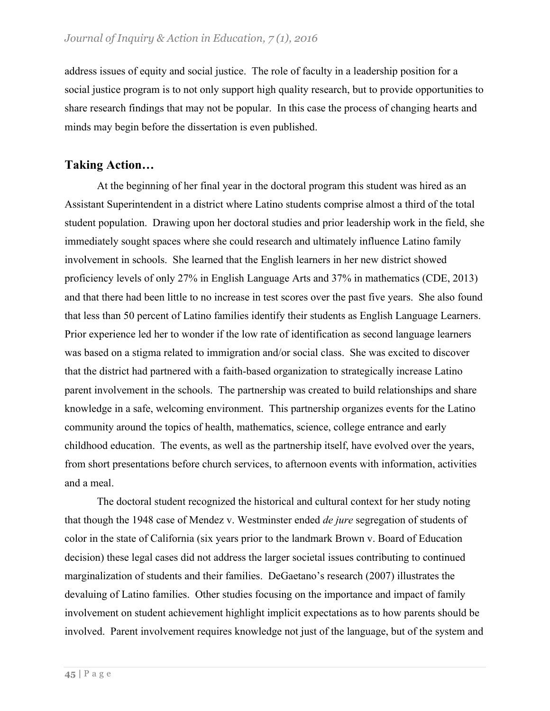address issues of equity and social justice. The role of faculty in a leadership position for a social justice program is to not only support high quality research, but to provide opportunities to share research findings that may not be popular. In this case the process of changing hearts and minds may begin before the dissertation is even published.

## **Taking Action…**

At the beginning of her final year in the doctoral program this student was hired as an Assistant Superintendent in a district where Latino students comprise almost a third of the total student population. Drawing upon her doctoral studies and prior leadership work in the field, she immediately sought spaces where she could research and ultimately influence Latino family involvement in schools. She learned that the English learners in her new district showed proficiency levels of only 27% in English Language Arts and 37% in mathematics (CDE, 2013) and that there had been little to no increase in test scores over the past five years. She also found that less than 50 percent of Latino families identify their students as English Language Learners. Prior experience led her to wonder if the low rate of identification as second language learners was based on a stigma related to immigration and/or social class. She was excited to discover that the district had partnered with a faith-based organization to strategically increase Latino parent involvement in the schools. The partnership was created to build relationships and share knowledge in a safe, welcoming environment. This partnership organizes events for the Latino community around the topics of health, mathematics, science, college entrance and early childhood education. The events, as well as the partnership itself, have evolved over the years, from short presentations before church services, to afternoon events with information, activities and a meal.

The doctoral student recognized the historical and cultural context for her study noting that though the 1948 case of Mendez v. Westminster ended *de jure* segregation of students of color in the state of California (six years prior to the landmark Brown v. Board of Education decision) these legal cases did not address the larger societal issues contributing to continued marginalization of students and their families. DeGaetano's research (2007) illustrates the devaluing of Latino families. Other studies focusing on the importance and impact of family involvement on student achievement highlight implicit expectations as to how parents should be involved. Parent involvement requires knowledge not just of the language, but of the system and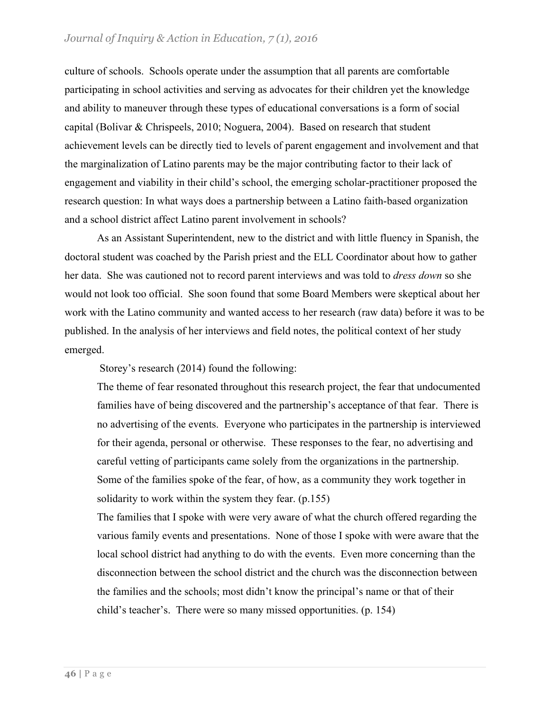#### *Journal of Inquiry & Action in Education, 7 (1), 2016*

culture of schools. Schools operate under the assumption that all parents are comfortable participating in school activities and serving as advocates for their children yet the knowledge and ability to maneuver through these types of educational conversations is a form of social capital (Bolivar & Chrispeels, 2010; Noguera, 2004). Based on research that student achievement levels can be directly tied to levels of parent engagement and involvement and that the marginalization of Latino parents may be the major contributing factor to their lack of engagement and viability in their child's school, the emerging scholar-practitioner proposed the research question: In what ways does a partnership between a Latino faith-based organization and a school district affect Latino parent involvement in schools?

As an Assistant Superintendent, new to the district and with little fluency in Spanish, the doctoral student was coached by the Parish priest and the ELL Coordinator about how to gather her data. She was cautioned not to record parent interviews and was told to *dress down* so she would not look too official. She soon found that some Board Members were skeptical about her work with the Latino community and wanted access to her research (raw data) before it was to be published. In the analysis of her interviews and field notes, the political context of her study emerged.

Storey's research (2014) found the following:

The theme of fear resonated throughout this research project, the fear that undocumented families have of being discovered and the partnership's acceptance of that fear. There is no advertising of the events. Everyone who participates in the partnership is interviewed for their agenda, personal or otherwise. These responses to the fear, no advertising and careful vetting of participants came solely from the organizations in the partnership. Some of the families spoke of the fear, of how, as a community they work together in solidarity to work within the system they fear. (p.155)

The families that I spoke with were very aware of what the church offered regarding the various family events and presentations. None of those I spoke with were aware that the local school district had anything to do with the events. Even more concerning than the disconnection between the school district and the church was the disconnection between the families and the schools; most didn't know the principal's name or that of their child's teacher's. There were so many missed opportunities. (p. 154)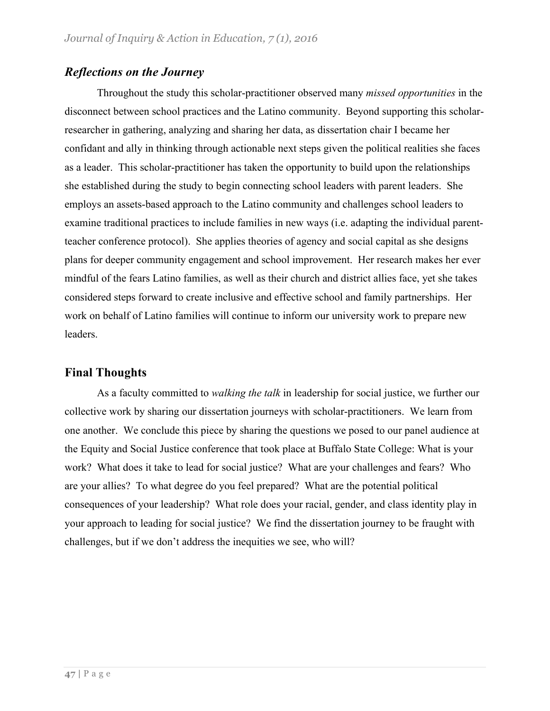## *Reflections on the Journey*

Throughout the study this scholar-practitioner observed many *missed opportunities* in the disconnect between school practices and the Latino community. Beyond supporting this scholarresearcher in gathering, analyzing and sharing her data, as dissertation chair I became her confidant and ally in thinking through actionable next steps given the political realities she faces as a leader. This scholar-practitioner has taken the opportunity to build upon the relationships she established during the study to begin connecting school leaders with parent leaders. She employs an assets-based approach to the Latino community and challenges school leaders to examine traditional practices to include families in new ways (i.e. adapting the individual parentteacher conference protocol). She applies theories of agency and social capital as she designs plans for deeper community engagement and school improvement. Her research makes her ever mindful of the fears Latino families, as well as their church and district allies face, yet she takes considered steps forward to create inclusive and effective school and family partnerships. Her work on behalf of Latino families will continue to inform our university work to prepare new leaders.

## **Final Thoughts**

As a faculty committed to *walking the talk* in leadership for social justice, we further our collective work by sharing our dissertation journeys with scholar-practitioners. We learn from one another. We conclude this piece by sharing the questions we posed to our panel audience at the Equity and Social Justice conference that took place at Buffalo State College: What is your work? What does it take to lead for social justice? What are your challenges and fears? Who are your allies? To what degree do you feel prepared? What are the potential political consequences of your leadership? What role does your racial, gender, and class identity play in your approach to leading for social justice? We find the dissertation journey to be fraught with challenges, but if we don't address the inequities we see, who will?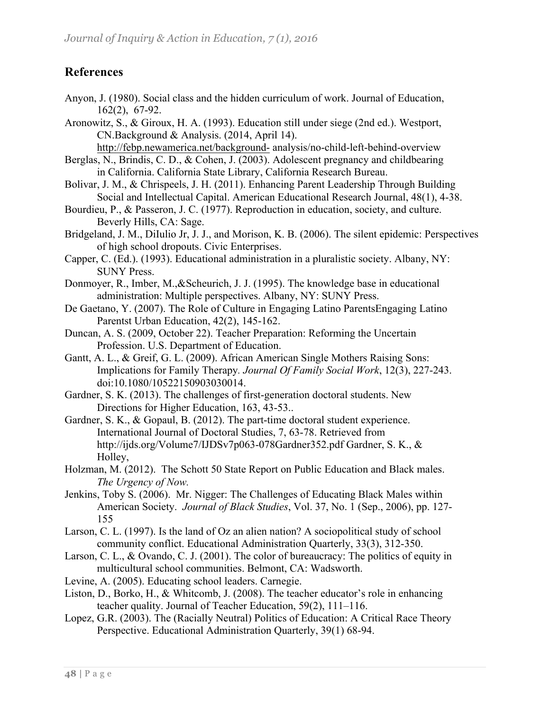# **References**

- Anyon, J. (1980). Social class and the hidden curriculum of work. Journal of Education, 162(2), 67-92.
- Aronowitz, S., & Giroux, H. A. (1993). Education still under siege (2nd ed.). Westport, CN.Background & Analysis. (2014, April 14).

http://febp.newamerica.net/background- analysis/no-child-left-behind-overview

- Berglas, N., Brindis, C. D., & Cohen, J. (2003). Adolescent pregnancy and childbearing in California. California State Library, California Research Bureau.
- Bolivar, J. M., & Chrispeels, J. H. (2011). Enhancing Parent Leadership Through Building Social and Intellectual Capital. American Educational Research Journal, 48(1), 4-38.
- Bourdieu, P., & Passeron, J. C. (1977). Reproduction in education, society, and culture. Beverly Hills, CA: Sage.
- Bridgeland, J. M., DiIulio Jr, J. J., and Morison, K. B. (2006). The silent epidemic: Perspectives of high school dropouts. Civic Enterprises.
- Capper, C. (Ed.). (1993). Educational administration in a pluralistic society. Albany, NY: SUNY Press.
- Donmoyer, R., Imber, M.,&Scheurich, J. J. (1995). The knowledge base in educational administration: Multiple perspectives. Albany, NY: SUNY Press.
- De Gaetano, Y. (2007). The Role of Culture in Engaging Latino ParentsEngaging Latino Parentst Urban Education, 42(2), 145-162.
- Duncan, A. S. (2009, October 22). Teacher Preparation: Reforming the Uncertain Profession. U.S. Department of Education.
- Gantt, A. L., & Greif, G. L. (2009). African American Single Mothers Raising Sons: Implications for Family Therapy*. Journal Of Family Social Work*, 12(3), 227-243. doi:10.1080/10522150903030014.
- Gardner, S. K. (2013). The challenges of first-generation doctoral students. New Directions for Higher Education, 163, 43-53..
- Gardner, S. K., & Gopaul, B. (2012). The part-time doctoral student experience. International Journal of Doctoral Studies, 7, 63-78. Retrieved from http://ijds.org/Volume7/IJDSv7p063-078Gardner352.pdf Gardner, S. K., & Holley,
- Holzman, M. (2012). The Schott 50 State Report on Public Education and Black males. *The Urgency of Now.*
- Jenkins, Toby S. (2006). Mr. Nigger: The Challenges of Educating Black Males within American Society. *Journal of Black Studies*, Vol. 37, No. 1 (Sep., 2006), pp. 127- 155
- Larson, C. L. (1997). Is the land of Oz an alien nation? A sociopolitical study of school community conflict. Educational Administration Quarterly, 33(3), 312-350.
- Larson, C. L., & Ovando, C. J. (2001). The color of bureaucracy: The politics of equity in multicultural school communities. Belmont, CA: Wadsworth.
- Levine, A. (2005). Educating school leaders. Carnegie.
- Liston, D., Borko, H., & Whitcomb, J. (2008). The teacher educator's role in enhancing teacher quality. Journal of Teacher Education, 59(2), 111–116.
- Lopez, G.R. (2003). The (Racially Neutral) Politics of Education: A Critical Race Theory Perspective. Educational Administration Quarterly, 39(1) 68-94.